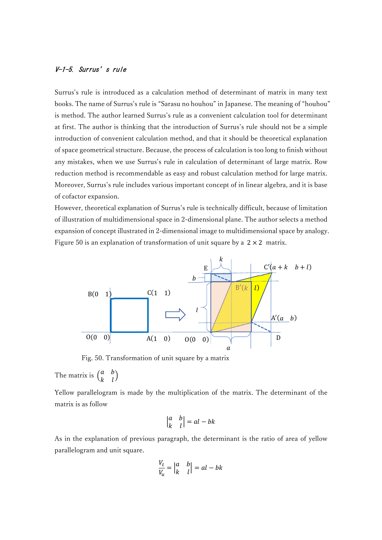## V-1-5. Surrus's rule

Surrus's rule is introduced as a calculation method of determinant of matrix in many text books. The name of Surrus's rule is "Sarasu no houhou" in Japanese. The meaning of "houhou" is method. The author learned Surrus's rule as a convenient calculation tool for determinant at first. The author is thinking that the introduction of Surrus's rule should not be a simple introduction of convenient calculation method, and that it should be theoretical explanation of space geometrical structure. Because, the process of calculation is too long to finish without any mistakes, when we use Surrus's rule in calculation of determinant of large matrix. Row reduction method is recommendable as easy and robust calculation method for large matrix. Moreover, Surrus's rule includes various important concept of in linear algebra, and it is base of cofactor expansion. tool for determinant<br>tool for determinant<br>nould not be a simple<br>neoretical explanation<br>long to finish without<br>of large matrix. Row<br>thod for large matrix.<br>algebra, and it is base<br>because of limitation<br>thor selects a method

However, theoretical explanation of Surrus's rule is technically difficult, because of limitation of illustration of multidimensional space in 2-dimensional plane. The author selects a method expansion of concept illustrated in 2-dimensional image to multidimensional space by analogy. Figure 50 is an explanation of transformation of unit square by a  $2 \times 2$  matrix.



Fig. 50. Transformation of unit square by a matrix

The matrix is  $\begin{pmatrix} a & b \\ b & b \end{pmatrix}$  $\begin{pmatrix} a & b \\ k & l \end{pmatrix}$ 

Yellow parallelogram is made by the multiplication of the matrix. The determinant of the matrix is as follow

$$
\begin{vmatrix} a & b \\ k & l \end{vmatrix} = al - bk
$$

As in the explanation of previous paragraph, the determinant is the ratio of area of yellow parallelogram and unit square.

$$
\frac{V_t}{V_u} = \begin{vmatrix} a & b \\ k & l \end{vmatrix} = al - bk
$$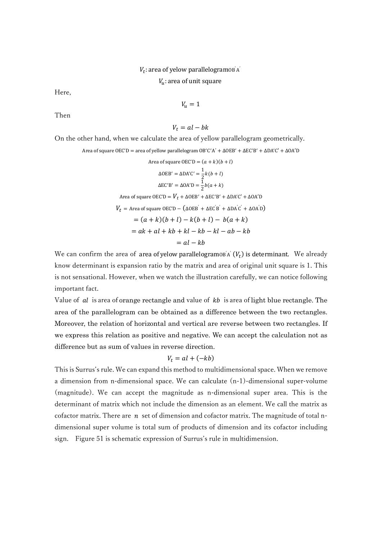## $V_t$ : area of yelow parallelogramo $\mathbf{B}^{\prime} \mathbf{A}^{\prime}$

 $V_u$ : area of unit square

Here,

$$
V_u=1
$$

Then

$$
V_t = al - bk
$$

On the other hand, when we calculate the area of yellow parallelogram geometrically.

Area of square OEC'D = area of yellow parallelogram OB'C'A' +  $\Delta$ OEB' +  $\Delta$ EC'B' +  $\Delta$ DA'C' +  $\Delta$ OA'D

Area of square 
$$
OECD = (a + k)(b + l)
$$
  
\n
$$
\Delta OEB' = \Delta DA'C' = \frac{1}{2}k(b + l)
$$
\n
$$
\Delta EC'B' = \Delta OA'D = \frac{1}{2}b(a + k)
$$
\nArea of square  $OECD = V_t + \Delta OEB' + \Delta EC'B' + \Delta DA'C' + \Delta OA'D$   
\n
$$
V_t = \text{Area of square } OEC'D - (\Delta OEB' + \Delta EC'B' + \Delta DA'C' + \Delta OA'D)
$$
\n
$$
= (a + k)(b + l) - k(b + l) - b(a + k)
$$
\n
$$
= ak + al + kb + kl - kb - kl - ab - kb
$$
\n
$$
= al - kb
$$

We can confirm the area of area of yelow parallelogramo $\mathbf{B}^{\prime}(\mathbf{V}_t)$  is determinant. We already know determinant is expansion ratio by the matrix and area of original unit square is 1. This is not sensational. However, when we watch the illustration carefully, we can notice following important fact.

Value of  $al$  is area of orange rectangle and value of  $kb$  is area of light blue rectangle. The area of the parallelogram can be obtained as a difference between the two rectangles. Moreover, the relation of horizontal and vertical are reverse between two rectangles. If we express this relation as positive and negative. We can accept the calculation not as difference but as sum of values in reverse direction.

$$
V_t = al + (-kb)
$$

This is Surrus's rule. We can expand this method to multidimensional space. When we remove a dimension from n-dimensional space. We can calculate (n-1)-dimensional super-volume (magnitude). We can accept the magnitude as n-dimensional super area. This is the determinant of matrix which not include the dimension as an element. We call the matrix as cofactor matrix. There are  $n$  set of dimension and cofactor matrix. The magnitude of total ndimensional super volume is total sum of products of dimension and its cofactor including sign. Figure 51 is schematic expression of Surrus's rule in multidimension.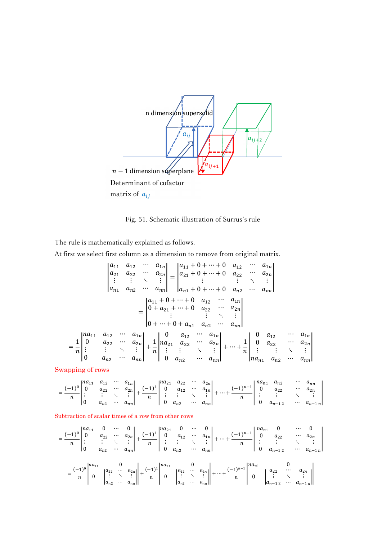

Fig. 51. Schematic illustration of Surrus's rule

The rule is mathematically explained as follows.

At first we select first column as a dimension to remove from original matrix.

$$
\begin{vmatrix}\na_{11} & a_{12} & \cdots & a_{1n} \\
a_{21} & a_{22} & \cdots & a_{2n} \\
\vdots & \vdots & \ddots & \vdots \\
a_{n1} & a_{n2} & \cdots & a_{nn}\n\end{vmatrix} = \begin{vmatrix}\na_{11} + 0 + \cdots + 0 & a_{12} & \cdots & a_{1n} \\
a_{21} + 0 + \cdots + 0 & a_{22} & \cdots & a_{2n} \\
\vdots & \vdots & \ddots & \vdots \\
a_{n1} + 0 + \cdots + 0 & a_{n2} & \cdots & a_{nn}\n\end{vmatrix}
$$
\n
$$
= \begin{vmatrix}\na_{11} + 0 + \cdots + 0 & a_{12} & \cdots & a_{1n} \\
0 + a_{21} + \cdots + 0 & a_{22} & \cdots & a_{2n} \\
0 + a_{21} + \cdots + 0 & a_{22} & \cdots & a_{2n} \\
\vdots & \vdots & \ddots & \vdots \\
0 + \cdots + 0 + a_{n1} & a_{n2} & \cdots & a_{nn}\n\end{vmatrix}
$$
\n
$$
= \frac{1}{n} \begin{vmatrix}\na_{11} & a_{12} & \cdots & a_{1n} \\
0 & a_{22} & \cdots & a_{2n} \\
\vdots & \vdots & \ddots & \vdots \\
0 & a_{n2} & \cdots & a_{nn}\n\end{vmatrix} + \frac{1}{n} \begin{vmatrix}\n0 & a_{12} & \cdots & a_{1n} \\
a_{21} & a_{22} & \cdots & a_{2n} \\
\vdots & \vdots & \ddots & \vdots \\
0 & a_{n2} & \cdots & a_{nn}\n\end{vmatrix} + \cdots + \frac{1}{n} \begin{vmatrix}\n0 & a_{12} & \cdots & a_{1n} \\
0 & a_{22} & \cdots & a_{2n} \\
\vdots & \vdots & \ddots & \vdots \\
a_{n1} & a_{n2} & \cdots & a_{nn}\n\end{vmatrix}
$$

Swapping of rows

| $1na_{11}$<br>. .<br>п | $u_1$<br>ᆠ<br>$a_{22}$<br>$a_{n}$ | $\cdots$<br>$\cdots$<br>$\cdots$ | 11 I L<br>$a_{2n}$<br>$\iota_{nn}$ | $ina_{21}$<br>$\sqrt{11}$<br>0<br>$\boldsymbol{n}$ | م د ب<br>$\overline{\mathcal{L}}$<br>$a_{12}$<br>$a_{n}$ | $\cdots$<br>$\cdots$<br>$\cdots$ | $a_{2n}$<br>$a_{1n}$<br>$a_{nn}$ | $n-1$<br> | $na_{n}$<br>1 L 1 | $a_{n2}$<br>$a_{22}$<br>$a_{n-1}$<br>+ ← | $\cdots$<br>$\cdots$<br>$\cdots$ | ∙nn<br>2n<br>un_ |
|------------------------|-----------------------------------|----------------------------------|------------------------------------|----------------------------------------------------|----------------------------------------------------------|----------------------------------|----------------------------------|-----------|-------------------|------------------------------------------|----------------------------------|------------------|
|                        |                                   |                                  |                                    |                                                    |                                                          |                                  |                                  |           |                   |                                          |                                  |                  |

## Subtraction of scalar times of a row from other rows

$$
= \frac{(-1)^0}{n} \begin{vmatrix} na_{11} & 0 & \cdots & 0 \\ 0 & a_{22} & \cdots & a_{2n} \\ \vdots & \vdots & \ddots & \vdots \\ 0 & a_{n2} & \cdots & a_{nn} \end{vmatrix} + \frac{(-1)^1}{n} \begin{vmatrix} na_{21} & 0 & \cdots & 0 \\ 0 & a_{12} & \cdots & a_{1n} \\ \vdots & \vdots & \ddots & \vdots \\ 0 & a_{n2} & \cdots & a_{nn} \end{vmatrix} + \cdots + \frac{(-1)^{n-1}}{n} \begin{vmatrix} na_{n1} & 0 & \cdots & 0 \\ 0 & a_{22} & \cdots & a_{2n} \\ \vdots & \vdots & \ddots & \vdots \\ 0 & a_{n-12} & \cdots & a_{n-1n} \end{vmatrix}
$$

$$
= \frac{(-1)^0}{n} \begin{vmatrix} na_{11} & 0 & a_{22} & \cdots & a_{2n} \\ 0 & \begin{vmatrix} a_{22} & \cdots & a_{2n} \\ \vdots & \ddots & \vdots \\ a_{n2} & \cdots & a_{nn} \end{vmatrix} + \frac{(-1)^1}{n} \begin{vmatrix} na_{21} & 0 & a_{22} & \cdots & a_{2n} \\ 0 & \begin{vmatrix} a_{22} & \cdots & a_{2n} \\ \vdots & \ddots & \vdots \\ a_{n-12} & \cdots & a_{n-1n} \end{vmatrix}
$$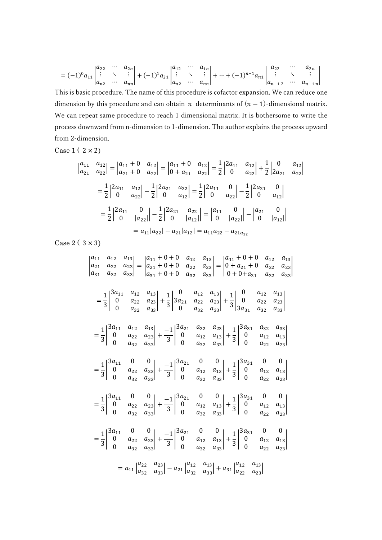$$
= (-1)^{0} a_{11} \begin{vmatrix} a_{22} & \cdots & a_{2n} \\ \vdots & \ddots & \vdots \\ a_{n2} & \cdots & a_{nn} \end{vmatrix} + (-1)^{1} a_{21} \begin{vmatrix} a_{12} & \cdots & a_{1n} \\ \vdots & \ddots & \vdots \\ a_{n2} & \cdots & a_{nn} \end{vmatrix} + \cdots + (-1)^{n-1} a_{n1} \begin{vmatrix} a_{22} & \cdots & a_{2n} \\ \vdots & \ddots & \vdots \\ a_{n-12} & \cdots & a_{n-1n} \end{vmatrix}
$$

This is basic procedure. The name of this procedure is cofactor expansion. We can reduce one dimension by this procedure and can obtain *n* determinants of  $(n - 1)$ -dimensional matrix. We can repeat same procedure to reach 1 dimensional matrix. It is bothersome to write the process downward from n-dimension to 1-dimension. The author explains the process upward from 2-dimension.

Case  $1(2 \times 2)$ 

$$
\begin{vmatrix} a_{11} & a_{12} \\ a_{21} & a_{22} \end{vmatrix} = \begin{vmatrix} a_{11} + 0 & a_{12} \\ a_{21} + 0 & a_{22} \end{vmatrix} = \begin{vmatrix} a_{11} + 0 & a_{12} \\ 0 + a_{21} & a_{22} \end{vmatrix} = \frac{1}{2} \begin{vmatrix} 2a_{11} & a_{12} \\ 0 & a_{22} \end{vmatrix} + \frac{1}{2} \begin{vmatrix} 0 & a_{12} \\ 2a_{21} & a_{22} \end{vmatrix}
$$

$$
= \frac{1}{2} \begin{vmatrix} 2a_{11} & a_{12} \\ 0 & a_{22} \end{vmatrix} - \frac{1}{2} \begin{vmatrix} 2a_{21} & a_{22} \\ 0 & a_{12} \end{vmatrix} = \frac{1}{2} \begin{vmatrix} 2a_{11} & 0 \\ 0 & a_{22} \end{vmatrix} - \frac{1}{2} \begin{vmatrix} 2a_{21} & 0 \\ 0 & a_{22} \end{vmatrix}
$$

$$
= \frac{1}{2} \begin{vmatrix} 2a_{11} & 0 \\ 0 & |a_{22}| \end{vmatrix} - \frac{1}{2} \begin{vmatrix} 2a_{21} & a_{22} \\ 0 & |a_{12}| \end{vmatrix} = \begin{vmatrix} a_{11} & 0 \\ 0 & |a_{22}| \end{vmatrix} - \begin{vmatrix} a_{21} & 0 \\ 0 & |a_{12}| \end{vmatrix}
$$

$$
= a_{11}|a_{22}| - a_{21}|a_{12}| = a_{11}a_{22} - a_{21}a_{12}
$$

Case  $2(3 \times 3)$ 

|                                                                                                                                                                                                                                 |  |  | $\begin{vmatrix} a_{11} & a_{12} & a_{13} \\ a_{21} & a_{22} & a_{23} \\ a_{31} & a_{32} & a_{33} \end{vmatrix} = \begin{vmatrix} a_{11} + 0 + 0 & a_{12} & a_{13} \\ a_{21} + 0 + 0 & a_{22} & a_{23} \\ a_{31} + 0 + 0 & a_{32} & a_{33} \end{vmatrix} = \begin{vmatrix} a_{11} + 0 + 0 & a_{12} & a_{13} \\ 0 + a_{21} + 0 & a_{22} & a_{23} \\ 0 + 0 + a_{31} & a_{32$ |  |  |  |  |  |  |
|---------------------------------------------------------------------------------------------------------------------------------------------------------------------------------------------------------------------------------|--|--|----------------------------------------------------------------------------------------------------------------------------------------------------------------------------------------------------------------------------------------------------------------------------------------------------------------------------------------------------------------------------|--|--|--|--|--|--|
|                                                                                                                                                                                                                                 |  |  | $=\frac{1}{3}\begin{vmatrix} 3a_{11} & a_{12} & a_{13} \\ 0 & a_{22} & a_{23} \\ 0 & a_{32} & a_{33} \end{vmatrix} + \frac{1}{3}\begin{vmatrix} 0 & a_{12} & a_{13} \\ 3a_{21} & a_{22} & a_{23} \\ 0 & a_{32} & a_{33} \end{vmatrix} + \frac{1}{3}\begin{vmatrix} 0 & a_{12} & a_{13} \\ 0 & a_{22} & a_{23} \\ 3a_{31} & a_{32} & a_{33} \end{vmatrix}$                  |  |  |  |  |  |  |
|                                                                                                                                                                                                                                 |  |  | $=\frac{1}{3}\begin{vmatrix} 3a_{11} & a_{12} & a_{13} \\ 0 & a_{22} & a_{23} \\ 0 & a_{32} & a_{33} \end{vmatrix} + \frac{-1}{3}\begin{vmatrix} 3a_{21} & a_{22} & a_{23} \\ 0 & a_{12} & a_{13} \\ 0 & a_{32} & a_{33} \end{vmatrix} + \frac{1}{3}\begin{vmatrix} 3a_{31} & a_{32} & a_{33} \\ 0 & a_{12} & a_{13} \\ 0 & a_{22} & a_{23} \end{vmatrix}$                 |  |  |  |  |  |  |
|                                                                                                                                                                                                                                 |  |  | $=\frac{1}{3}\begin{vmatrix} 3a_{11} & 0 & 0 \\ 0 & a_{22} & a_{23} \\ 0 & a_{32} & a_{33} \end{vmatrix} +\frac{-1}{3}\begin{vmatrix} 3a_{21} & 0 & 0 \\ 0 & a_{12} & a_{13} \\ 0 & a_{32} & a_{33} \end{vmatrix} +\frac{1}{3}\begin{vmatrix} 3a_{31} & 0 & 0 \\ 0 & a_{12} & a_{13} \\ 0 & a_{22} & a_{23} \end{vmatrix}$                                                 |  |  |  |  |  |  |
|                                                                                                                                                                                                                                 |  |  | $=\frac{1}{3}\begin{vmatrix} 3a_{11} & 0 & 0 \\ 0 & a_{22} & a_{23} \\ 0 & a_{32} & a_{33} \end{vmatrix} +\frac{-1}{3}\begin{vmatrix} 3a_{21} & 0 & 0 \\ 0 & a_{12} & a_{13} \\ 0 & a_{32} & a_{33} \end{vmatrix} +\frac{1}{3}\begin{vmatrix} 3a_{31} & 0 & 0 \\ 0 & a_{12} & a_{13} \\ 0 & a_{22} & a_{23} \end{vmatrix}$                                                 |  |  |  |  |  |  |
|                                                                                                                                                                                                                                 |  |  | $=\frac{1}{3}\begin{vmatrix} 3a_{11} & 0 & 0 \\ 0 & a_{22} & a_{23} \\ 0 & a_{32} & a_{33} \end{vmatrix} +\frac{-1}{3}\begin{vmatrix} 3a_{21} & 0 & 0 \\ 0 & a_{12} & a_{13} \\ 0 & a_{32} & a_{33} \end{vmatrix} +\frac{1}{3}\begin{vmatrix} 3a_{31} & 0 & 0 \\ 0 & a_{12} & a_{13} \\ 0 & a_{22} & a_{23} \end{vmatrix}$                                                 |  |  |  |  |  |  |
| $= a_{11} \begin{vmatrix} a_{22} & a_{23} \\ a_{32} & a_{33} \end{vmatrix} - a_{21} \begin{vmatrix} a_{12} & a_{13} \\ a_{32} & a_{33} \end{vmatrix} + a_{31} \begin{vmatrix} a_{12} & a_{13} \\ a_{22} & a_{23} \end{vmatrix}$ |  |  |                                                                                                                                                                                                                                                                                                                                                                            |  |  |  |  |  |  |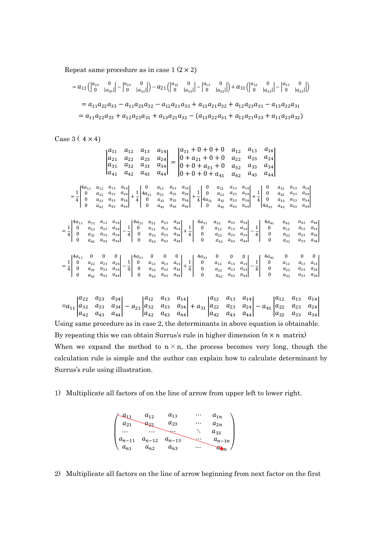Repeat same procedure as in case  $1(2 \times 2)$ 

$$
= a_{11} \left( \begin{vmatrix} a_{22} & 0 \\ 0 & |a_{33}|| \end{vmatrix} - \begin{vmatrix} a_{23} & 0 \\ 0 & |a_{32}|| \end{vmatrix} \right) - a_{21} \left( \begin{vmatrix} a_{12} & 0 \\ 0 & |a_{33}|| \end{vmatrix} - \begin{vmatrix} a_{13} & 0 \\ 0 & |a_{32}|| \end{vmatrix} \right) + a_{31} \left( \begin{vmatrix} a_{12} & 0 \\ 0 & |a_{23}|| \end{vmatrix} - \begin{vmatrix} a_{13} & 0 \\ 0 & |a_{22}|| \end{vmatrix} \right)
$$
  
=  $a_{11}a_{22}a_{33} - a_{11}a_{23}a_{32} - a_{12}a_{21}a_{33} + a_{13}a_{21}a_{32} + a_{12}a_{23}a_{31} - a_{13}a_{22}a_{31}$   
=  $a_{11}a_{22}a_{33} + a_{12}a_{23}a_{31} + a_{13}a_{21}a_{32} - (a_{13}a_{22}a_{31} + a_{12}a_{21}a_{33} + a_{11}a_{23}a_{32})$ 

Case  $3(4 \times 4)$ 

0  $a_{42}$ 

$$
\begin{vmatrix}\na_{11} & a_{12} & a_{13} & a_{14} \\
a_{21} & a_{22} & a_{23} & a_{24} \\
a_{31} & a_{32} & a_{33} & a_{34} \\
a_{41} & a_{42} & a_{43} & a_{44}\n\end{vmatrix} = \begin{vmatrix}\na_{11} + 0 + 0 + 0 & a_{12} & a_{13} & a_{14} \\
0 + a_{21} + 0 + 0 & a_{22} & a_{23} & a_{24} \\
0 + 0 + a_{31} + 0 & a_{32} & a_{33} & a_{34} \\
0 + 0 + 0 + a_{41} & a_{42} & a_{43} & a_{44}\n\end{vmatrix}
$$
\n
$$
= \frac{1}{4} \begin{vmatrix}\na_{11} & a_{12} & a_{13} & a_{14} \\
0 & a_{22} & a_{23} & a_{24} \\
0 & a_{32} & a_{33} & a_{34} \\
0 & a_{32} & a_{33} & a_{34} \\
0 & a_{32} & a_{33} & a_{34} \\
0 & a_{42} & a_{43} & a_{44}\n\end{vmatrix} + \frac{1}{4} \begin{vmatrix}\na_{12} & a_{13} & a_{14} \\
a_{21} & a_{22} & a_{23} & a_{24} \\
0 & a_{32} & a_{33} & a_{34} \\
0 & a_{42} & a_{43} & a_{44}\n\end{vmatrix} + \frac{1}{4} \begin{vmatrix}\na_{12} & a_{13} & a_{14} \\
a_{21} & a_{22} & a_{23} & a_{24} \\
0 & a_{32} & a_{33} & a_{34} \\
0 & a_{42} & a_{43} & a_{44}\n\end{vmatrix} + \frac{1}{4} \begin{vmatrix}\na_{11} & a_{12} & a_{13} & a_{14} \\
a_{21} & a_{22} & a_{23} & a_{24} \\
0 & a_{22} & a_{33} & a_{34} \\
0 & a_{42} & a_{43} & a_{44}\n\end{vmatrix} + \frac{1}{4} \begin{vmatrix}\na_{12} & a_{13} & a_{14} \\
a_{21} & a_{22} & a
$$

 $=a_{11}$  $a_{22}$   $a_{23}$   $a_{24}$  $a_{32}$   $a_{33}$   $a_{34}$  $a_{42}$   $a_{43}$   $a_{44}$  $\vert -a_{21} \vert$  $a_{12}$   $a_{13}$   $a_{14}$  $a_{32}$   $a_{33}$   $a_{34}$  $a_{42}$   $a_{43}$   $a_{44}$  $| + a_{31} |$  $a_{12}$   $a_{13}$   $a_{14}$  $a_{22}$   $a_{23}$   $a_{24}$  $a_{42}$   $a_{43}$   $a_{44}$  $\vert -a_{41} \vert$  $a_{12}$   $a_{13}$   $a_{14}$  $a_{22}$   $a_{23}$   $a_{24}$  $a_{32}$   $a_{33}$   $a_{34}$  $\overline{\phantom{a}}$ Using same procedure as in case 2, the determinants in above equation is obtainable. By repeating this we can obtain Surrus's rule in higher dimension  $(n \times n$  matrix) When we expand the method to  $n \times n$ , the process becomes very long, though the calculation rule is simple and the author can explain how to calculate determinant by Surrus's rule using illustration.

0  $a_{42}$ 

0  $a_{32}$ 

1) Multiplicate all factors of on the line of arrow from upper left to lower right.

0  $a_{42}$ 



2) Multiplicate all factors on the line of arrow beginning from next factor on the first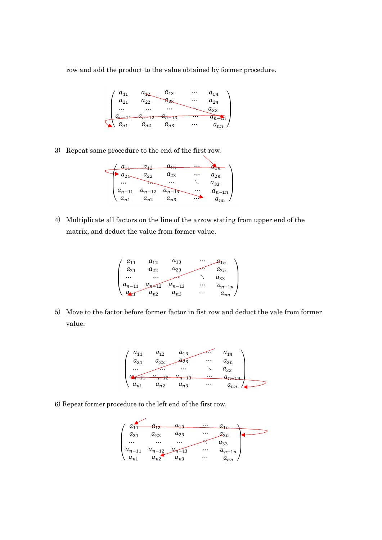row and add the product to the value obtained by former procedure.



3) Repeat same procedure to the end of the first row.



4) Multiplicate all factors on the line of the arrow stating from upper end of the matrix, and deduct the value from former value.



5) Move to the factor before former factor in fist row and deduct the vale from former value.



6) Repeat former procedure to the left end of the first row.